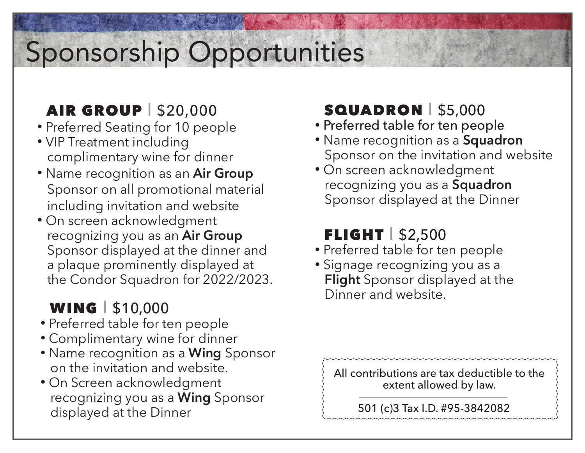# Sponsorship Opportunities

## **AIR GROUP** | \$20,000

- Preferred Seating for 10 people
- VIP Treatment including complimentary wine for dinner
- Name recognition as an **Air Group** Sponsor on all promotional material including invitation and website
- On screen acknowledgment recognizing you as an **Air Group** Sponsor displayed at the dinner and a plaque prominently displayed at the Condor Squadron for 2022/2023.

### WING | \$10,000

- Preferred table for ten people
- Complimentary wine for dinner
- Name recognition as a **Wing** Sponsor on the invitation and website.
- On Screen acknowledgment recognizing you as a **Wing** Sponsor displayed at the Dinner

## SQUADRON I \$5,000

- Preferred table for ten people
- Name recognition as a **Squadron** Sponsor on the invitation and website
- On screen acknowledgment recognizing you as a **Squadron**  Sponsor displayed at the Dinner

## FLIGHT  $\frac{1}{2}$  \$2,500

- Preferred table for ten people
- Signage recognizing you as a **Flight** Sponsor displayed at the Dinner and website.

All contributions are tax deductible to the extent allowed by law.

501 (c)3 Tax I.D. #95-3842082